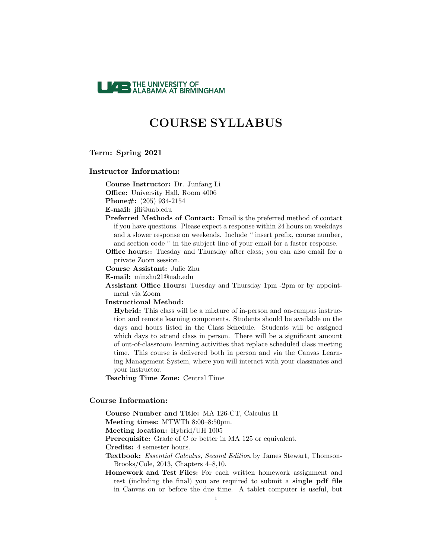

## Term: Spring 2021

### Instructor Information:

Course Instructor: Dr. Junfang Li Office: University Hall, Room 4006

Phone#: (205) 934-2154

E-mail: jfli@uab.edu

Preferred Methods of Contact: Email is the preferred method of contact if you have questions. Please expect a response within 24 hours on weekdays and a slower response on weekends. Include " insert prefix, course number, and section code " in the subject line of your email for a faster response.

Office hours:: Tuesday and Thursday after class; you can also email for a private Zoom session.

Course Assistant: Julie Zhu

E-mail: minzhu21@uab.edu

Assistant Office Hours: Tuesday and Thursday 1pm -2pm or by appointment via Zoom

Instructional Method:

Hybrid: This class will be a mixture of in-person and on-campus instruction and remote learning components. Students should be available on the days and hours listed in the Class Schedule. Students will be assigned which days to attend class in person. There will be a significant amount of out-of-classroom learning activities that replace scheduled class meeting time. This course is delivered both in person and via the Canvas Learning Management System, where you will interact with your classmates and your instructor.

Teaching Time Zone: Central Time

## Course Information:

Course Number and Title: MA 126-CT, Calculus II

Meeting times: MTWTh 8:00–8:50pm.

Meeting location: Hybrid/UH 1005

Prerequisite: Grade of C or better in MA 125 or equivalent.

Credits: 4 semester hours.

Textbook: Essential Calculus, Second Edition by James Stewart, Thomson-Brooks/Cole, 2013, Chapters 4–8,10.

Homework and Test Files: For each written homework assignment and test (including the final) you are required to submit a single pdf file in Canvas on or before the due time. A tablet computer is useful, but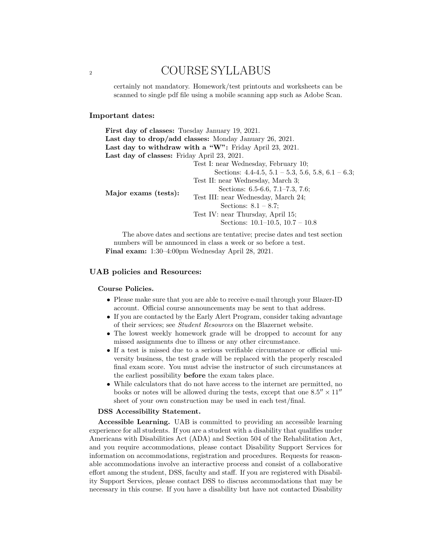certainly not mandatory. Homework/test printouts and worksheets can be scanned to single pdf file using a mobile scanning app such as Adobe Scan.

## Important dates:

| <b>First day of classes:</b> Tuesday January 19, 2021. |                                                                                                                                                                                                                                                                                                                                       |
|--------------------------------------------------------|---------------------------------------------------------------------------------------------------------------------------------------------------------------------------------------------------------------------------------------------------------------------------------------------------------------------------------------|
|                                                        | Last day to drop/add classes: Monday January 26, 2021.                                                                                                                                                                                                                                                                                |
|                                                        | Last day to withdraw with a "W": Friday April 23, 2021.                                                                                                                                                                                                                                                                               |
| Last day of classes: Friday April 23, 2021.            |                                                                                                                                                                                                                                                                                                                                       |
| Major exams (tests):                                   | Test I: near Wednesday, February 10;<br>Sections: $4.4-4.5$ , $5.1-5.3$ , $5.6$ , $5.8$ , $6.1-6.3$ ;<br>Test II: near Wednesday, March 3;<br>Sections: $6.5-6.6$ , $7.1-7.3$ , $7.6$ ;<br>Test III: near Wednesday, March 24;<br>Sections: $8.1 - 8.7$ ;<br>Test IV: near Thursday, April 15;<br>Sections: $10.1-10.5$ , $10.7-10.8$ |
|                                                        |                                                                                                                                                                                                                                                                                                                                       |

The above dates and sections are tentative; precise dates and test section numbers will be announced in class a week or so before a test. Final exam: 1:30–4:00pm Wednesday April 28, 2021.

## UAB policies and Resources:

#### Course Policies.

- Please make sure that you are able to receive e-mail through your Blazer-ID account. Official course announcements may be sent to that address.
- If you are contacted by the Early Alert Program, consider taking advantage of their services; see Student Resources on the Blazernet website.
- The lowest weekly homework grade will be dropped to account for any missed assignments due to illness or any other circumstance.
- If a test is missed due to a serious verifiable circumstance or official university business, the test grade will be replaced with the properly rescaled final exam score. You must advise the instructor of such circumstances at the earliest possibility before the exam takes place.
- While calculators that do not have access to the internet are permitted, no books or notes will be allowed during the tests, except that one  $8.5'' \times 11''$ sheet of your own construction may be used in each test/final.

#### DSS Accessibility Statement.

Accessible Learning. UAB is committed to providing an accessible learning experience for all students. If you are a student with a disability that qualifies under Americans with Disabilities Act (ADA) and Section 504 of the Rehabilitation Act, and you require accommodations, please contact Disability Support Services for information on accommodations, registration and procedures. Requests for reasonable accommodations involve an interactive process and consist of a collaborative effort among the student, DSS, faculty and staff. If you are registered with Disability Support Services, please contact DSS to discuss accommodations that may be necessary in this course. If you have a disability but have not contacted Disability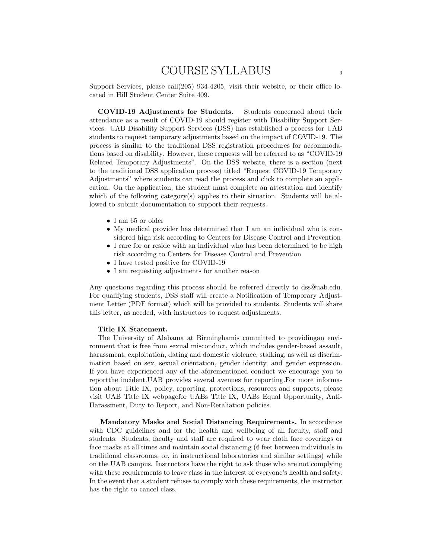Support Services, please call(205) 934-4205, visit their website, or their office located in Hill Student Center Suite 409.

COVID-19 Adjustments for Students. Students concerned about their attendance as a result of COVID-19 should register with Disability Support Services. UAB Disability Support Services (DSS) has established a process for UAB students to request temporary adjustments based on the impact of COVID-19. The process is similar to the traditional DSS registration procedures for accommodations based on disability. However, these requests will be referred to as "COVID-19 Related Temporary Adjustments". On the DSS website, there is a section (next to the traditional DSS application process) titled "Request COVID-19 Temporary Adjustments" where students can read the process and click to complete an application. On the application, the student must complete an attestation and identify which of the following category(s) applies to their situation. Students will be allowed to submit documentation to support their requests.

- I am 65 or older
- My medical provider has determined that I am an individual who is considered high risk according to Centers for Disease Control and Prevention
- I care for or reside with an individual who has been determined to be high risk according to Centers for Disease Control and Prevention
- I have tested positive for COVID-19
- I am requesting adjustments for another reason

Any questions regarding this process should be referred directly to dss@uab.edu. For qualifying students, DSS staff will create a Notification of Temporary Adjustment Letter (PDF format) which will be provided to students. Students will share this letter, as needed, with instructors to request adjustments.

#### Title IX Statement.

The University of Alabama at Birminghamis committed to providingan environment that is free from sexual misconduct, which includes gender-based assault, harassment, exploitation, dating and domestic violence, stalking, as well as discrimination based on sex, sexual orientation, gender identity, and gender expression. If you have experienced any of the aforementioned conduct we encourage you to reportthe incident.UAB provides several avenues for reporting.For more information about Title IX, policy, reporting, protections, resources and supports, please visit UAB Title IX webpagefor UABs Title IX, UABs Equal Opportunity, Anti-Harassment, Duty to Report, and Non-Retaliation policies.

Mandatory Masks and Social Distancing Requirements. In accordance with CDC guidelines and for the health and wellbeing of all faculty, staff and students. Students, faculty and staff are required to wear cloth face coverings or face masks at all times and maintain social distancing (6 feet between individuals in traditional classrooms, or, in instructional laboratories and similar settings) while on the UAB campus. Instructors have the right to ask those who are not complying with these requirements to leave class in the interest of everyone's health and safety. In the event that a student refuses to comply with these requirements, the instructor has the right to cancel class.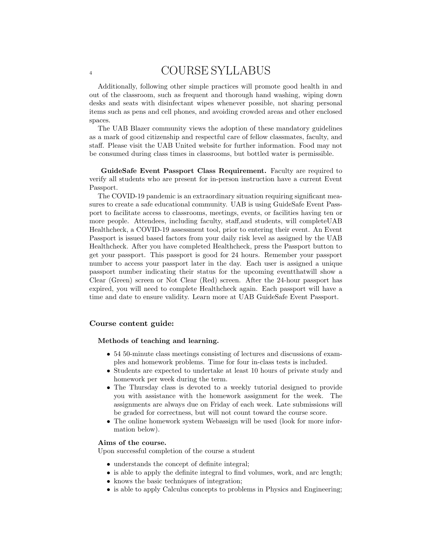Additionally, following other simple practices will promote good health in and out of the classroom, such as frequent and thorough hand washing, wiping down desks and seats with disinfectant wipes whenever possible, not sharing personal items such as pens and cell phones, and avoiding crowded areas and other enclosed spaces.

The UAB Blazer community views the adoption of these mandatory guidelines as a mark of good citizenship and respectful care of fellow classmates, faculty, and staff. Please visit the UAB United website for further information. Food may not be consumed during class times in classrooms, but bottled water is permissible.

GuideSafe Event Passport Class Requirement. Faculty are required to verify all students who are present for in-person instruction have a current Event Passport.

The COVID-19 pandemic is an extraordinary situation requiring significant measures to create a safe educational community. UAB is using GuideSafe Event Passport to facilitate access to classrooms, meetings, events, or facilities having ten or more people. Attendees, including faculty, staff,and students, will completeUAB Healthcheck, a COVID-19 assessment tool, prior to entering their event. An Event Passport is issued based factors from your daily risk level as assigned by the UAB Healthcheck. After you have completed Healthcheck, press the Passport button to get your passport. This passport is good for 24 hours. Remember your passport number to access your passport later in the day. Each user is assigned a unique passport number indicating their status for the upcoming eventthatwill show a Clear (Green) screen or Not Clear (Red) screen. After the 24-hour passport has expired, you will need to complete Healthcheck again. Each passport will have a time and date to ensure validity. Learn more at UAB GuideSafe Event Passport.

## Course content guide:

#### Methods of teaching and learning.

- 54 50-minute class meetings consisting of lectures and discussions of examples and homework problems. Time for four in-class tests is included.
- Students are expected to undertake at least 10 hours of private study and homework per week during the term.
- The Thursday class is devoted to a weekly tutorial designed to provide you with assistance with the homework assignment for the week. The assignments are always due on Friday of each week. Late submissions will be graded for correctness, but will not count toward the course score.
- The online homework system Webassign will be used (look for more information below).

### Aims of the course.

Upon successful completion of the course a student

- understands the concept of definite integral;
- is able to apply the definite integral to find volumes, work, and arc length;
- knows the basic techniques of integration;
- is able to apply Calculus concepts to problems in Physics and Engineering;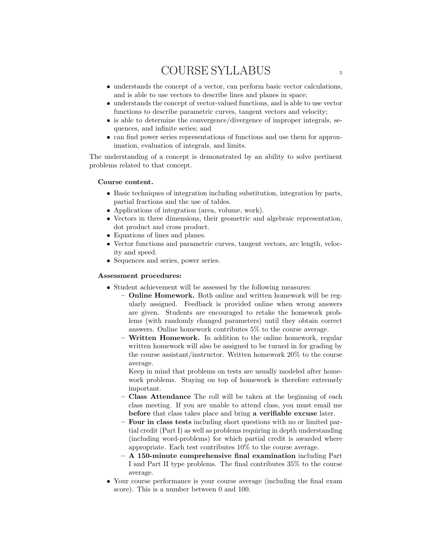- understands the concept of a vector, can perform basic vector calculations, and is able to use vectors to describe lines and planes in space;
- understands the concept of vector-valued functions, and is able to use vector functions to describe parametric curves, tangent vectors and velocity;
- is able to determine the convergence/divergence of improper integrals, sequences, and infinite series; and
- can find power series representations of functions and use them for approximation, evaluation of integrals, and limits.

The understanding of a concept is demonstrated by an ability to solve pertinent problems related to that concept.

## Course content.

- Basic techniques of integration including substitution, integration by parts, partial fractions and the use of tables.
- Applications of integration (area, volume, work).
- Vectors in three dimensions, their geometric and algebraic representation, dot product and cross product.
- Equations of lines and planes.
- Vector functions and parametric curves, tangent vectors, arc length, velocity and speed.
- Sequences and series, power series.

## Assessment procedures:

- Student achievement will be assessed by the following measures:
	- Online Homework. Both online and written homework will be regularly assigned. Feedback is provided online when wrong answers are given. Students are encouraged to retake the homework problems (with randomly changed parameters) until they obtain correct answers. Online homework contributes 5% to the course average.
	- Written Homework. In addition to the online homework, regular written homework will also be assigned to be turned in for grading by the course assistant/instructor. Written homework 20% to the course average.

Keep in mind that problems on tests are usually modeled after homework problems. Staying on top of homework is therefore extremely important.

- Class Attendance The roll will be taken at the beginning of each class meeting. If you are unable to attend class, you must email me before that class takes place and bring a verifiable excuse later.
- Four in class tests including short questions with no or limited partial credit (Part I) as well as problems requiring in depth understanding (including word-problems) for which partial credit is awarded where appropriate. Each test contributes 10% to the course average.
- A 150-minute comprehensive final examination including Part I and Part II type problems. The final contributes 35% to the course average.
- Your course performance is your course average (including the final exam score). This is a number between 0 and 100.